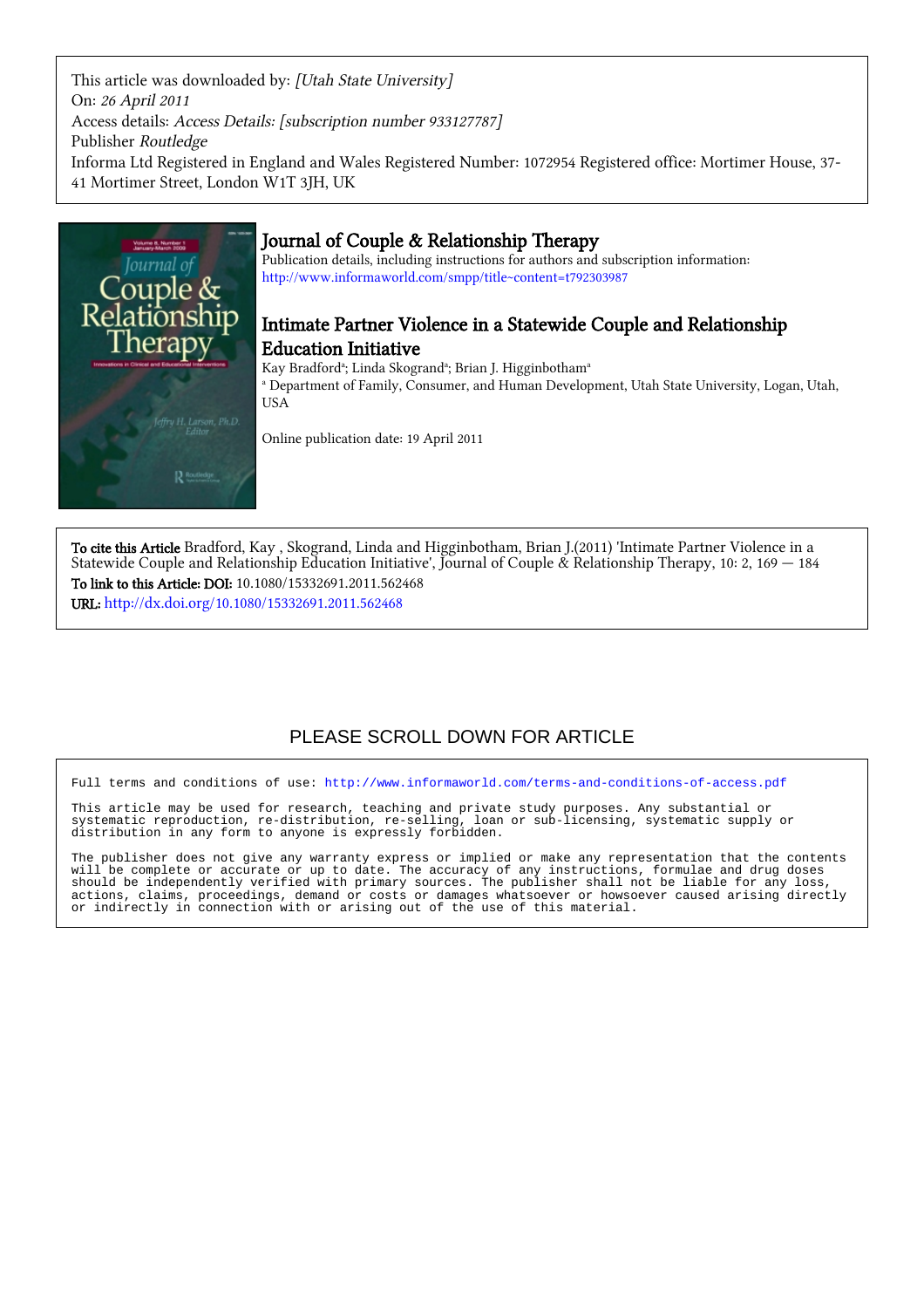This article was downloaded by: [Utah State University] On: 26 April 2011 Access details: Access Details: [subscription number 933127787] Publisher Routledge Informa Ltd Registered in England and Wales Registered Number: 1072954 Registered office: Mortimer House, 37- 41 Mortimer Street, London W1T 3JH, UK



## Journal of Couple & Relationship Therapy

Publication details, including instructions for authors and subscription information: <http://www.informaworld.com/smpp/title~content=t792303987>

## Intimate Partner Violence in a Statewide Couple and Relationship Education Initiative

Kay Bradford<sup>a</sup>; Linda Skogrand<sup>a</sup>; Brian J. Higginbotham<sup>a</sup> a Department of Family, Consumer, and Human Development, Utah State University, Logan, Utah, **USA** 

Online publication date: 19 April 2011

To cite this Article Bradford, Kay , Skogrand, Linda and Higginbotham, Brian J.(2011) 'Intimate Partner Violence in a Statewide Couple and Relationship Education Initiative', Journal of Couple & Relationship Therapy, 10: 2, 169 - 184 To link to this Article: DOI: 10.1080/15332691.2011.562468 URL: <http://dx.doi.org/10.1080/15332691.2011.562468>

# PLEASE SCROLL DOWN FOR ARTICLE

Full terms and conditions of use:<http://www.informaworld.com/terms-and-conditions-of-access.pdf>

This article may be used for research, teaching and private study purposes. Any substantial or systematic reproduction, re-distribution, re-selling, loan or sub-licensing, systematic supply or distribution in any form to anyone is expressly forbidden.

The publisher does not give any warranty express or implied or make any representation that the contents will be complete or accurate or up to date. The accuracy of any instructions, formulae and drug doses should be independently verified with primary sources. The publisher shall not be liable for any loss, actions, claims, proceedings, demand or costs or damages whatsoever or howsoever caused arising directly or indirectly in connection with or arising out of the use of this material.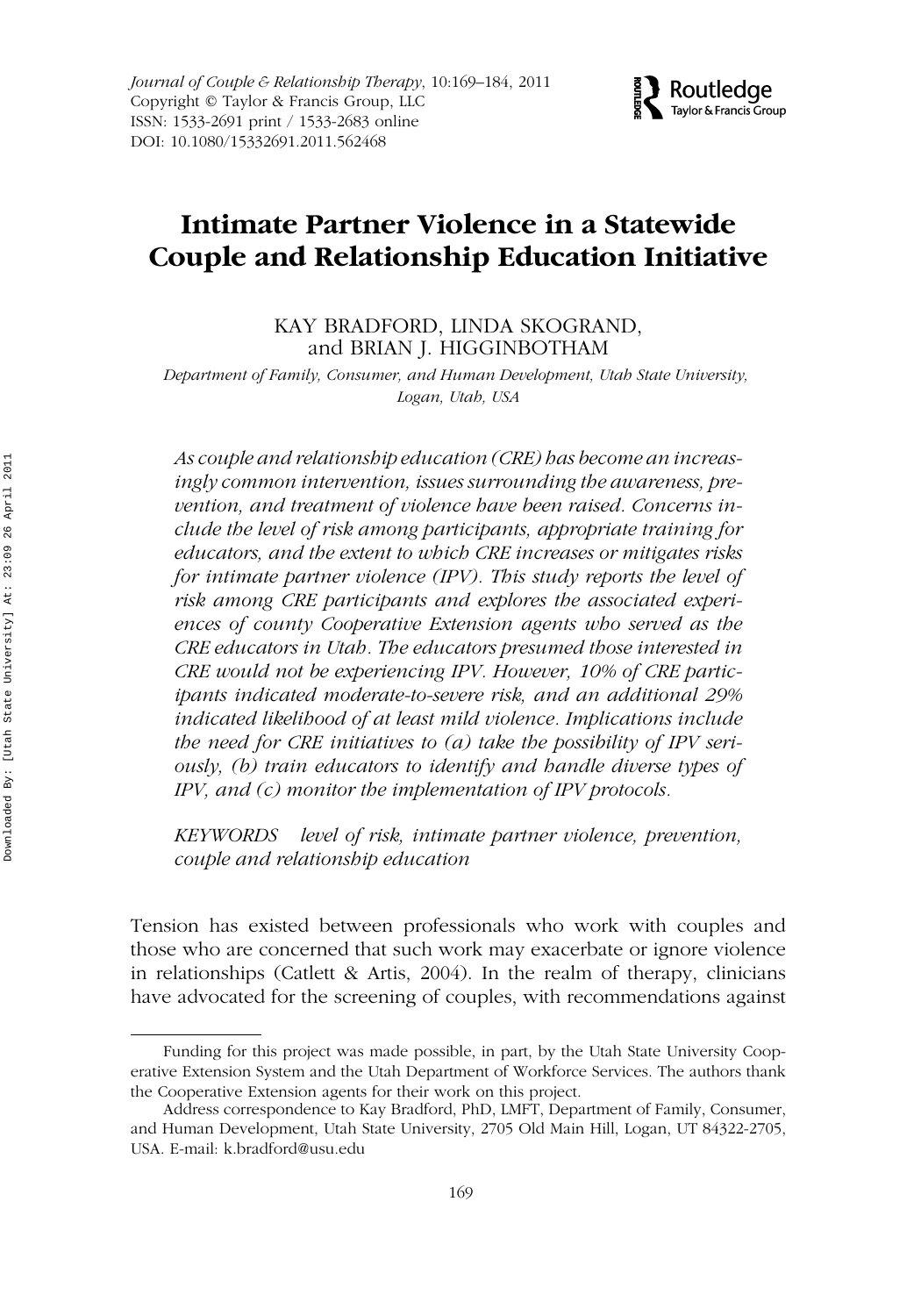*Journal of Couple & Relationship Therapy*, 10:169–184, 2011 Copyright © Taylor & Francis Group, LLC ISSN: 1533-2691 print / 1533-2683 online DOI: 10.1080/15332691.2011.562468



# **Intimate Partner Violence in a Statewide Couple and Relationship Education Initiative**

KAY BRADFORD, LINDA SKOGRAND, and BRIAN J. HIGGINBOTHAM

*Department of Family, Consumer, and Human Development, Utah State University, Logan, Utah, USA*

*As couple and relationship education (CRE) has become an increasingly common intervention, issues surrounding the awareness, prevention, and treatment of violence have been raised. Concerns include the level of risk among participants, appropriate training for educators, and the extent to which CRE increases or mitigates risks for intimate partner violence (IPV). This study reports the level of risk among CRE participants and explores the associated experiences of county Cooperative Extension agents who served as the CRE educators in Utah. The educators presumed those interested in CRE would not be experiencing IPV. However, 10% of CRE participants indicated moderate-to-severe risk, and an additional 29% indicated likelihood of at least mild violence. Implications include the need for CRE initiatives to (a) take the possibility of IPV seriously, (b) train educators to identify and handle diverse types of IPV, and (c) monitor the implementation of IPV protocols.*

*KEYWORDS level of risk, intimate partner violence, prevention, couple and relationship education*

Tension has existed between professionals who work with couples and those who are concerned that such work may exacerbate or ignore violence in relationships (Catlett & Artis,  $2004$ ). In the realm of therapy, clinicians have advocated for the screening of couples, with recommendations against

Funding for this project was made possible, in part, by the Utah State University Cooperative Extension System and the Utah Department of Workforce Services. The authors thank the Cooperative Extension agents for their work on this project.

Address correspondence to Kay Bradford, PhD, LMFT, Department of Family, Consumer, and Human Development, Utah State University, 2705 Old Main Hill, Logan, UT 84322-2705, USA. E-mail: k.bradford@usu.edu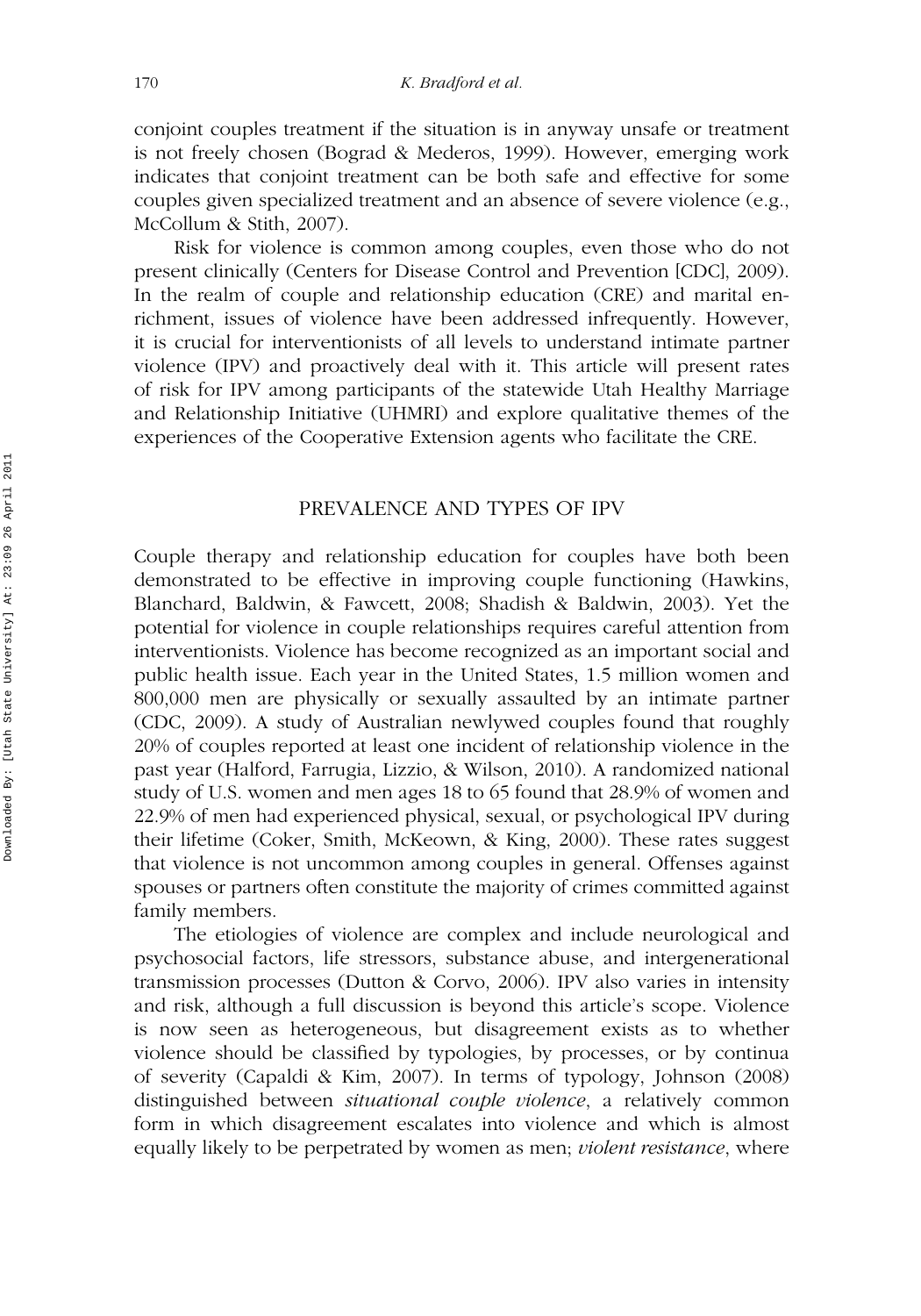conjoint couples treatment if the situation is in anyway unsafe or treatment is not freely chosen (Bograd & Mederos, 1999). However, emerging work indicates that conjoint treatment can be both safe and effective for some couples given specialized treatment and an absence of severe violence (e.g., McCollum & Stith, 2007).

Risk for violence is common among couples, even those who do not present clinically (Centers for Disease Control and Prevention [CDC], 2009). In the realm of couple and relationship education (CRE) and marital enrichment, issues of violence have been addressed infrequently. However, it is crucial for interventionists of all levels to understand intimate partner violence (IPV) and proactively deal with it. This article will present rates of risk for IPV among participants of the statewide Utah Healthy Marriage and Relationship Initiative (UHMRI) and explore qualitative themes of the experiences of the Cooperative Extension agents who facilitate the CRE.

## PREVALENCE AND TYPES OF IPV

Couple therapy and relationship education for couples have both been demonstrated to be effective in improving couple functioning (Hawkins, Blanchard, Baldwin, & Fawcett, 2008; Shadish & Baldwin, 2003). Yet the potential for violence in couple relationships requires careful attention from interventionists. Violence has become recognized as an important social and public health issue. Each year in the United States, 1.5 million women and 800,000 men are physically or sexually assaulted by an intimate partner (CDC, 2009). A study of Australian newlywed couples found that roughly 20% of couples reported at least one incident of relationship violence in the past year (Halford, Farrugia, Lizzio, & Wilson, 2010). A randomized national study of U.S. women and men ages 18 to 65 found that 28.9% of women and 22.9% of men had experienced physical, sexual, or psychological IPV during their lifetime (Coker, Smith, McKeown, & King, 2000). These rates suggest that violence is not uncommon among couples in general. Offenses against spouses or partners often constitute the majority of crimes committed against family members.

The etiologies of violence are complex and include neurological and psychosocial factors, life stressors, substance abuse, and intergenerational transmission processes (Dutton & Corvo, 2006). IPV also varies in intensity and risk, although a full discussion is beyond this article's scope. Violence is now seen as heterogeneous, but disagreement exists as to whether violence should be classified by typologies, by processes, or by continua of severity (Capaldi & Kim, 2007). In terms of typology, Johnson (2008) distinguished between *situational couple violence*, a relatively common form in which disagreement escalates into violence and which is almost equally likely to be perpetrated by women as men; *violent resistance*, where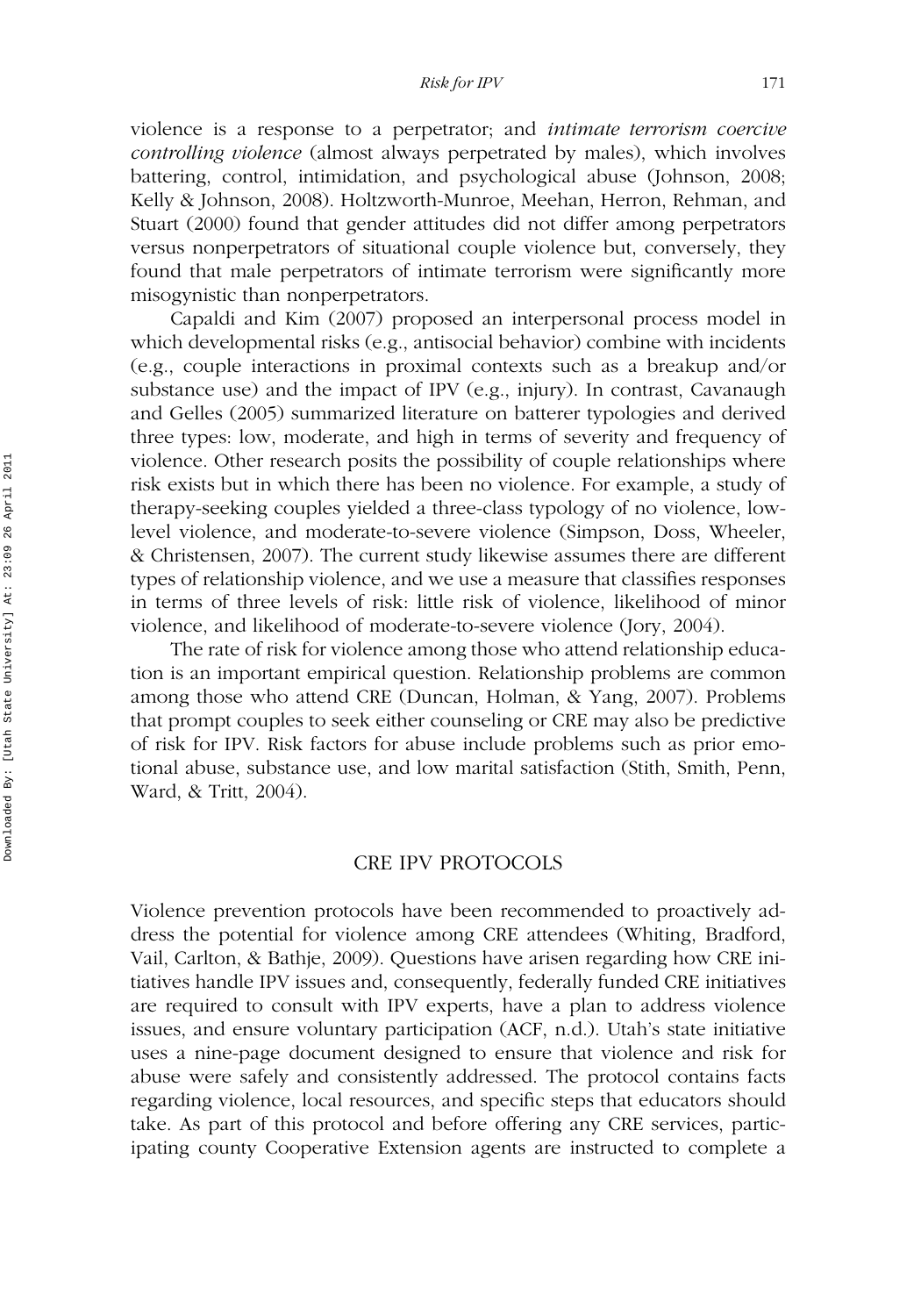*Risk for IPV* 171

violence is a response to a perpetrator; and *intimate terrorism coercive controlling violence* (almost always perpetrated by males), which involves battering, control, intimidation, and psychological abuse (Johnson, 2008; Kelly & Johnson, 2008). Holtzworth-Munroe, Meehan, Herron, Rehman, and Stuart (2000) found that gender attitudes did not differ among perpetrators versus nonperpetrators of situational couple violence but, conversely, they found that male perpetrators of intimate terrorism were significantly more misogynistic than nonperpetrators.

Capaldi and Kim (2007) proposed an interpersonal process model in which developmental risks (e.g., antisocial behavior) combine with incidents (e.g., couple interactions in proximal contexts such as a breakup and/or substance use) and the impact of IPV (e.g., injury). In contrast, Cavanaugh and Gelles (2005) summarized literature on batterer typologies and derived three types: low, moderate, and high in terms of severity and frequency of violence. Other research posits the possibility of couple relationships where risk exists but in which there has been no violence. For example, a study of therapy-seeking couples yielded a three-class typology of no violence, lowlevel violence, and moderate-to-severe violence (Simpson, Doss, Wheeler, & Christensen, 2007). The current study likewise assumes there are different types of relationship violence, and we use a measure that classifies responses in terms of three levels of risk: little risk of violence, likelihood of minor violence, and likelihood of moderate-to-severe violence (Jory, 2004).

The rate of risk for violence among those who attend relationship education is an important empirical question. Relationship problems are common among those who attend CRE (Duncan, Holman, & Yang, 2007). Problems that prompt couples to seek either counseling or CRE may also be predictive of risk for IPV. Risk factors for abuse include problems such as prior emotional abuse, substance use, and low marital satisfaction (Stith, Smith, Penn, Ward, & Tritt, 2004).

## CRE IPV PROTOCOLS

Violence prevention protocols have been recommended to proactively address the potential for violence among CRE attendees (Whiting, Bradford, Vail, Carlton, & Bathje, 2009). Questions have arisen regarding how CRE initiatives handle IPV issues and, consequently, federally funded CRE initiatives are required to consult with IPV experts, have a plan to address violence issues, and ensure voluntary participation (ACF, n.d.). Utah's state initiative uses a nine-page document designed to ensure that violence and risk for abuse were safely and consistently addressed. The protocol contains facts regarding violence, local resources, and specific steps that educators should take. As part of this protocol and before offering any CRE services, participating county Cooperative Extension agents are instructed to complete a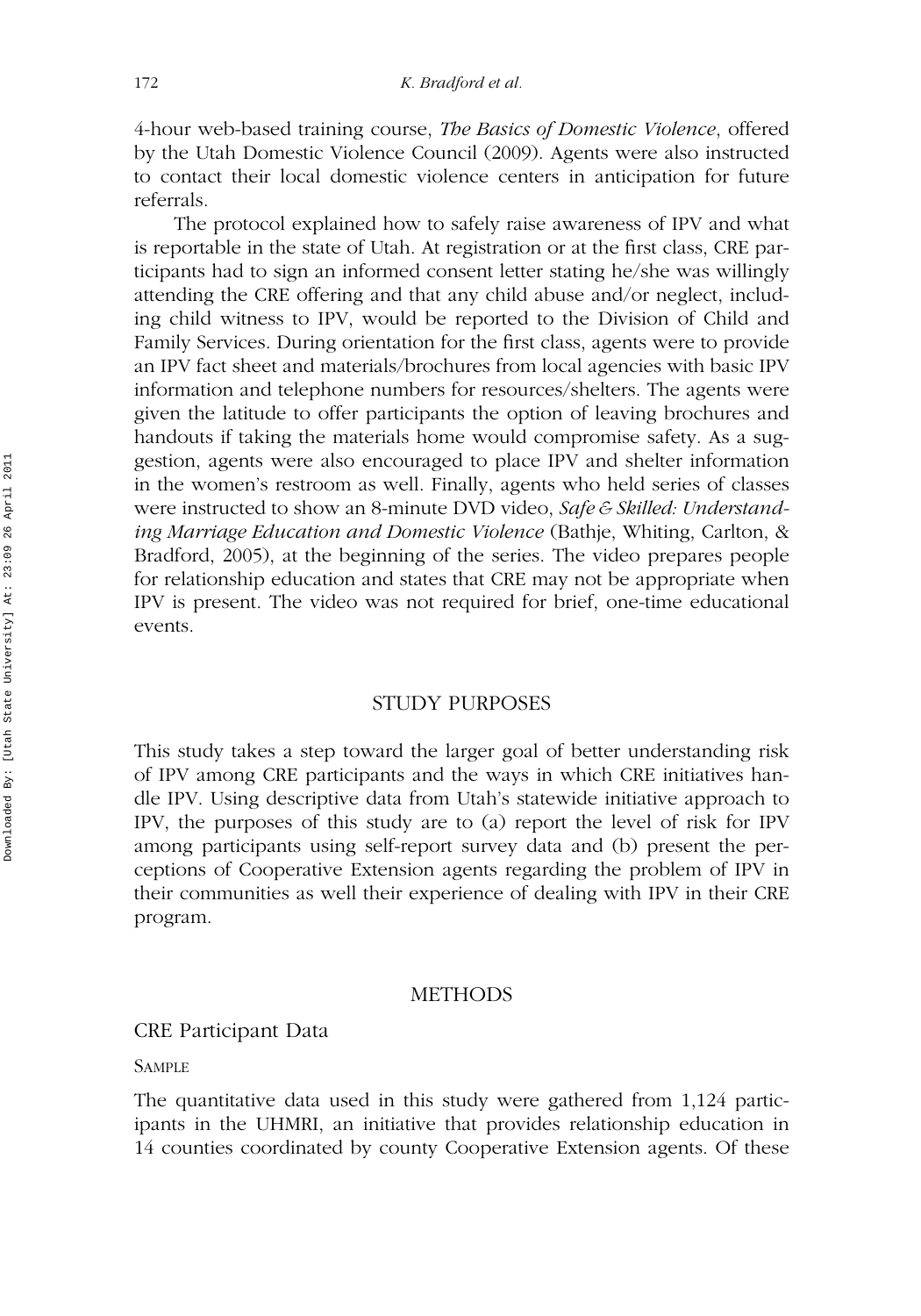4-hour web-based training course, *The Basics of Domestic Violence*, offered by the Utah Domestic Violence Council (2009). Agents were also instructed to contact their local domestic violence centers in anticipation for future referrals.

The protocol explained how to safely raise awareness of IPV and what is reportable in the state of Utah. At registration or at the first class, CRE participants had to sign an informed consent letter stating he/she was willingly attending the CRE offering and that any child abuse and/or neglect, including child witness to IPV, would be reported to the Division of Child and Family Services. During orientation for the first class, agents were to provide an IPV fact sheet and materials/brochures from local agencies with basic IPV information and telephone numbers for resources/shelters. The agents were given the latitude to offer participants the option of leaving brochures and handouts if taking the materials home would compromise safety. As a suggestion, agents were also encouraged to place IPV and shelter information in the women's restroom as well. Finally, agents who held series of classes were instructed to show an 8-minute DVD video, *Safe & Skilled: Understanding Marriage Education and Domestic Violence* (Bathje, Whiting, Carlton, & Bradford, 2005), at the beginning of the series. The video prepares people for relationship education and states that CRE may not be appropriate when IPV is present. The video was not required for brief, one-time educational events.

#### STUDY PURPOSES

This study takes a step toward the larger goal of better understanding risk of IPV among CRE participants and the ways in which CRE initiatives handle IPV. Using descriptive data from Utah's statewide initiative approach to IPV, the purposes of this study are to (a) report the level of risk for IPV among participants using self-report survey data and (b) present the perceptions of Cooperative Extension agents regarding the problem of IPV in their communities as well their experience of dealing with IPV in their CRE program.

#### **METHODS**

## CRE Participant Data

## **SAMPLE**

The quantitative data used in this study were gathered from 1,124 participants in the UHMRI, an initiative that provides relationship education in 14 counties coordinated by county Cooperative Extension agents. Of these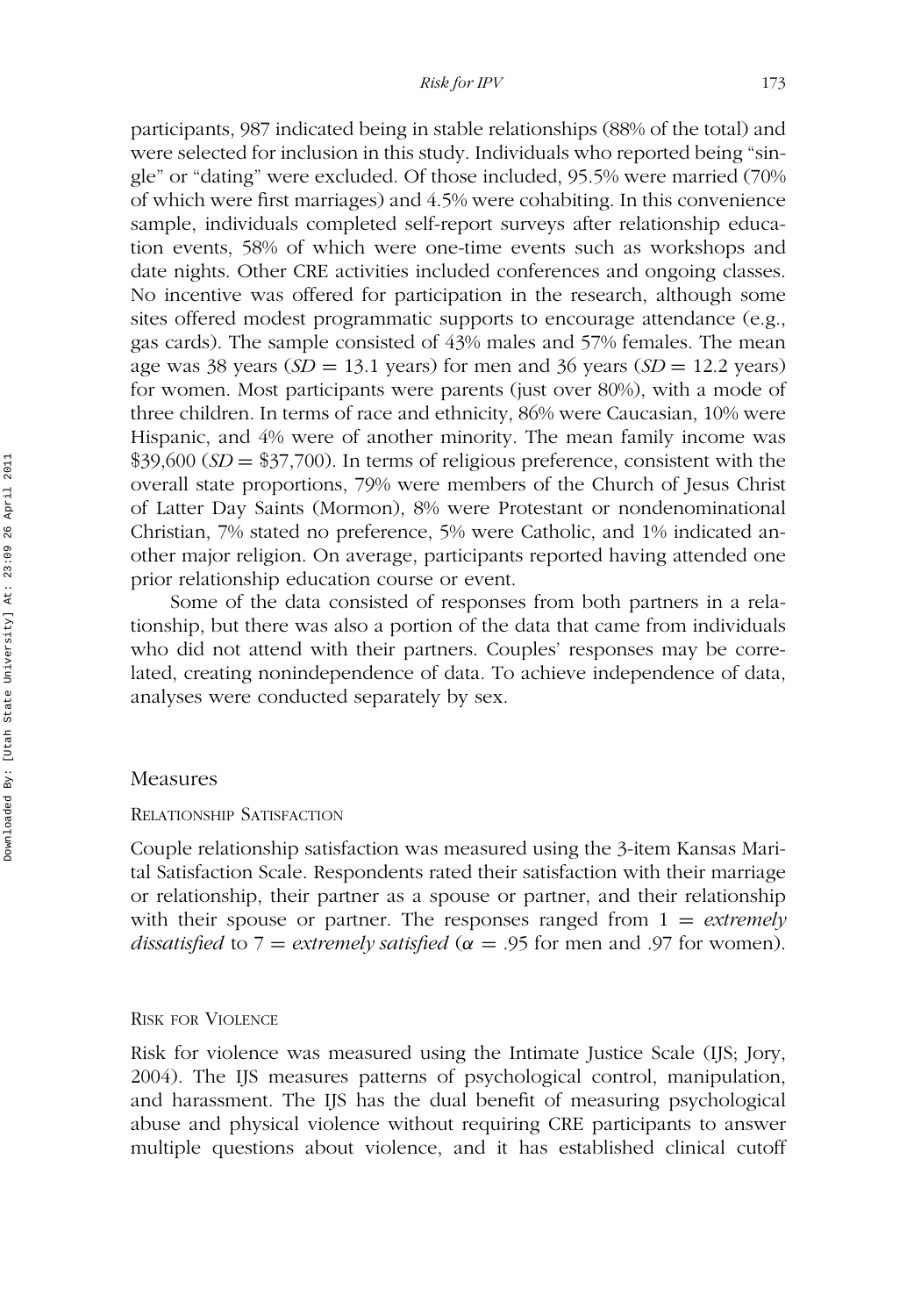participants, 987 indicated being in stable relationships (88% of the total) and were selected for inclusion in this study. Individuals who reported being "single" or "dating" were excluded. Of those included, 95.5% were married (70% of which were first marriages) and 4.5% were cohabiting. In this convenience sample, individuals completed self-report surveys after relationship education events, 58% of which were one-time events such as workshops and date nights. Other CRE activities included conferences and ongoing classes. No incentive was offered for participation in the research, although some sites offered modest programmatic supports to encourage attendance (e.g., gas cards). The sample consisted of 43% males and 57% females. The mean age was 38 years ( $SD = 13.1$  years) for men and 36 years ( $SD = 12.2$  years) for women. Most participants were parents (just over 80%), with a mode of three children. In terms of race and ethnicity, 86% were Caucasian, 10% were Hispanic, and 4% were of another minority. The mean family income was \$39,600 (*SD* = \$37,700). In terms of religious preference, consistent with the overall state proportions, 79% were members of the Church of Jesus Christ of Latter Day Saints (Mormon), 8% were Protestant or nondenominational Christian, 7% stated no preference, 5% were Catholic, and 1% indicated another major religion. On average, participants reported having attended one prior relationship education course or event.

Some of the data consisted of responses from both partners in a relationship, but there was also a portion of the data that came from individuals who did not attend with their partners. Couples' responses may be correlated, creating nonindependence of data. To achieve independence of data, analyses were conducted separately by sex.

#### Measures

#### RELATIONSHIP SATISFACTION

Couple relationship satisfaction was measured using the 3-item Kansas Marital Satisfaction Scale. Respondents rated their satisfaction with their marriage or relationship, their partner as a spouse or partner, and their relationship with their spouse or partner. The responses ranged from  $1 =$  *extremely dissatisfied* to  $7 =$  *extremely satisfied* ( $\alpha = .95$  for men and .97 for women).

#### RISK FOR VIOLENCE

Risk for violence was measured using the Intimate Justice Scale (IJS; Jory, 2004). The IJS measures patterns of psychological control, manipulation, and harassment. The IJS has the dual benefit of measuring psychological abuse and physical violence without requiring CRE participants to answer multiple questions about violence, and it has established clinical cutoff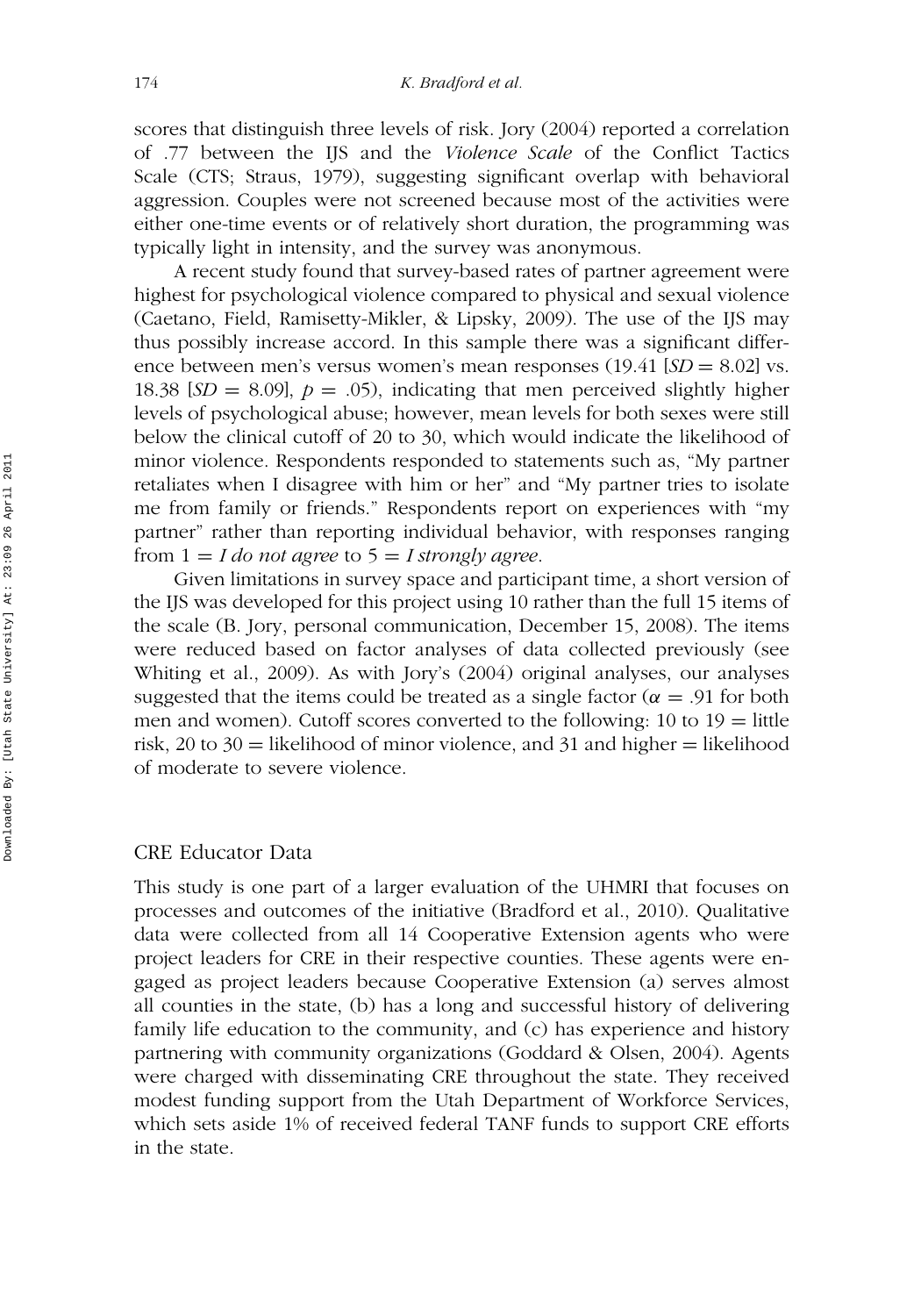scores that distinguish three levels of risk. Jory (2004) reported a correlation of .77 between the IJS and the *Violence Scale* of the Conflict Tactics Scale (CTS; Straus, 1979), suggesting significant overlap with behavioral aggression. Couples were not screened because most of the activities were either one-time events or of relatively short duration, the programming was typically light in intensity, and the survey was anonymous.

A recent study found that survey-based rates of partner agreement were highest for psychological violence compared to physical and sexual violence (Caetano, Field, Ramisetty-Mikler, & Lipsky, 2009). The use of the IJS may thus possibly increase accord. In this sample there was a significant difference between men's versus women's mean responses (19.41 [*SD* = 8.02] vs. 18.38  $[SD = 8.09]$ ,  $p = .05$ ), indicating that men perceived slightly higher levels of psychological abuse; however, mean levels for both sexes were still below the clinical cutoff of 20 to 30, which would indicate the likelihood of minor violence. Respondents responded to statements such as, "My partner retaliates when I disagree with him or her" and "My partner tries to isolate me from family or friends." Respondents report on experiences with "my partner" rather than reporting individual behavior, with responses ranging from  $1 = I$  *do not agree* to  $5 = I$  *strongly agree.* 

Given limitations in survey space and participant time, a short version of the IJS was developed for this project using 10 rather than the full 15 items of the scale (B. Jory, personal communication, December 15, 2008). The items were reduced based on factor analyses of data collected previously (see Whiting et al., 2009). As with Jory's (2004) original analyses, our analyses suggested that the items could be treated as a single factor ( $\alpha = .91$  for both men and women). Cutoff scores converted to the following:  $10$  to  $19 =$  little risk, 20 to  $30 =$  likelihood of minor violence, and 31 and higher  $=$  likelihood of moderate to severe violence.

## CRE Educator Data

This study is one part of a larger evaluation of the UHMRI that focuses on processes and outcomes of the initiative (Bradford et al., 2010). Qualitative data were collected from all 14 Cooperative Extension agents who were project leaders for CRE in their respective counties. These agents were engaged as project leaders because Cooperative Extension (a) serves almost all counties in the state, (b) has a long and successful history of delivering family life education to the community, and (c) has experience and history partnering with community organizations (Goddard & Olsen, 2004). Agents were charged with disseminating CRE throughout the state. They received modest funding support from the Utah Department of Workforce Services, which sets aside 1% of received federal TANF funds to support CRE efforts in the state.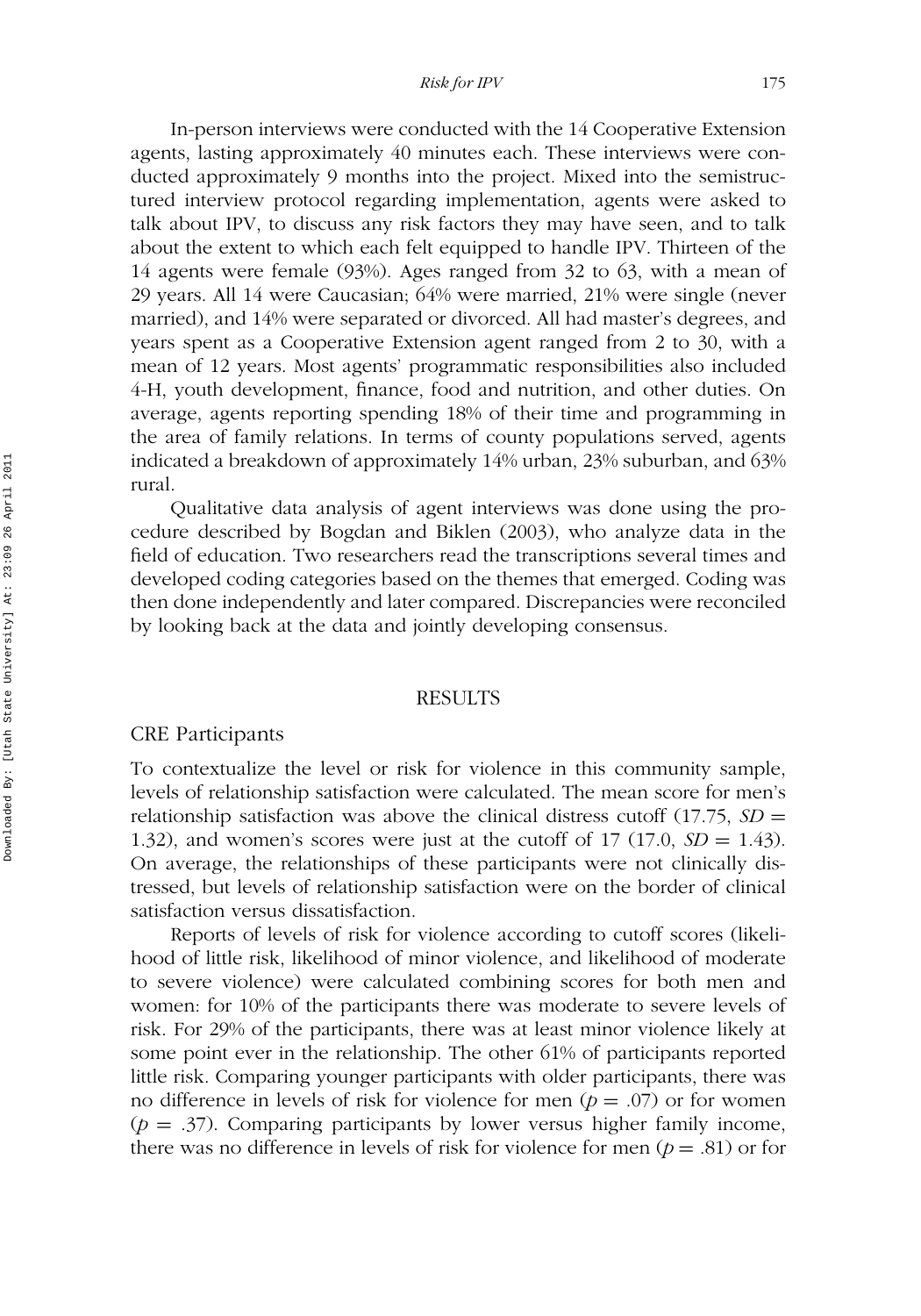*Risk for IPV* 175

In-person interviews were conducted with the 14 Cooperative Extension agents, lasting approximately 40 minutes each. These interviews were conducted approximately 9 months into the project. Mixed into the semistructured interview protocol regarding implementation, agents were asked to talk about IPV, to discuss any risk factors they may have seen, and to talk about the extent to which each felt equipped to handle IPV. Thirteen of the 14 agents were female (93%). Ages ranged from 32 to 63, with a mean of 29 years. All 14 were Caucasian; 64% were married, 21% were single (never married), and 14% were separated or divorced. All had master's degrees, and years spent as a Cooperative Extension agent ranged from 2 to 30, with a mean of 12 years. Most agents' programmatic responsibilities also included 4-H, youth development, finance, food and nutrition, and other duties. On average, agents reporting spending 18% of their time and programming in the area of family relations. In terms of county populations served, agents indicated a breakdown of approximately 14% urban, 23% suburban, and 63% rural.

Qualitative data analysis of agent interviews was done using the procedure described by Bogdan and Biklen (2003), who analyze data in the field of education. Two researchers read the transcriptions several times and developed coding categories based on the themes that emerged. Coding was then done independently and later compared. Discrepancies were reconciled by looking back at the data and jointly developing consensus.

#### RESULTS

#### CRE Participants

To contextualize the level or risk for violence in this community sample, levels of relationship satisfaction were calculated. The mean score for men's relationship satisfaction was above the clinical distress cutoff (17.75,  $SD =$ 1.32), and women's scores were just at the cutoff of  $17$  ( $17.0$ ,  $SD = 1.43$ ). On average, the relationships of these participants were not clinically distressed, but levels of relationship satisfaction were on the border of clinical satisfaction versus dissatisfaction.

Reports of levels of risk for violence according to cutoff scores (likelihood of little risk, likelihood of minor violence, and likelihood of moderate to severe violence) were calculated combining scores for both men and women: for 10% of the participants there was moderate to severe levels of risk. For 29% of the participants, there was at least minor violence likely at some point ever in the relationship. The other 61% of participants reported little risk. Comparing younger participants with older participants, there was no difference in levels of risk for violence for men  $(p = .07)$  or for women  $(p = .37)$ . Comparing participants by lower versus higher family income, there was no difference in levels of risk for violence for men  $(p=.81)$  or for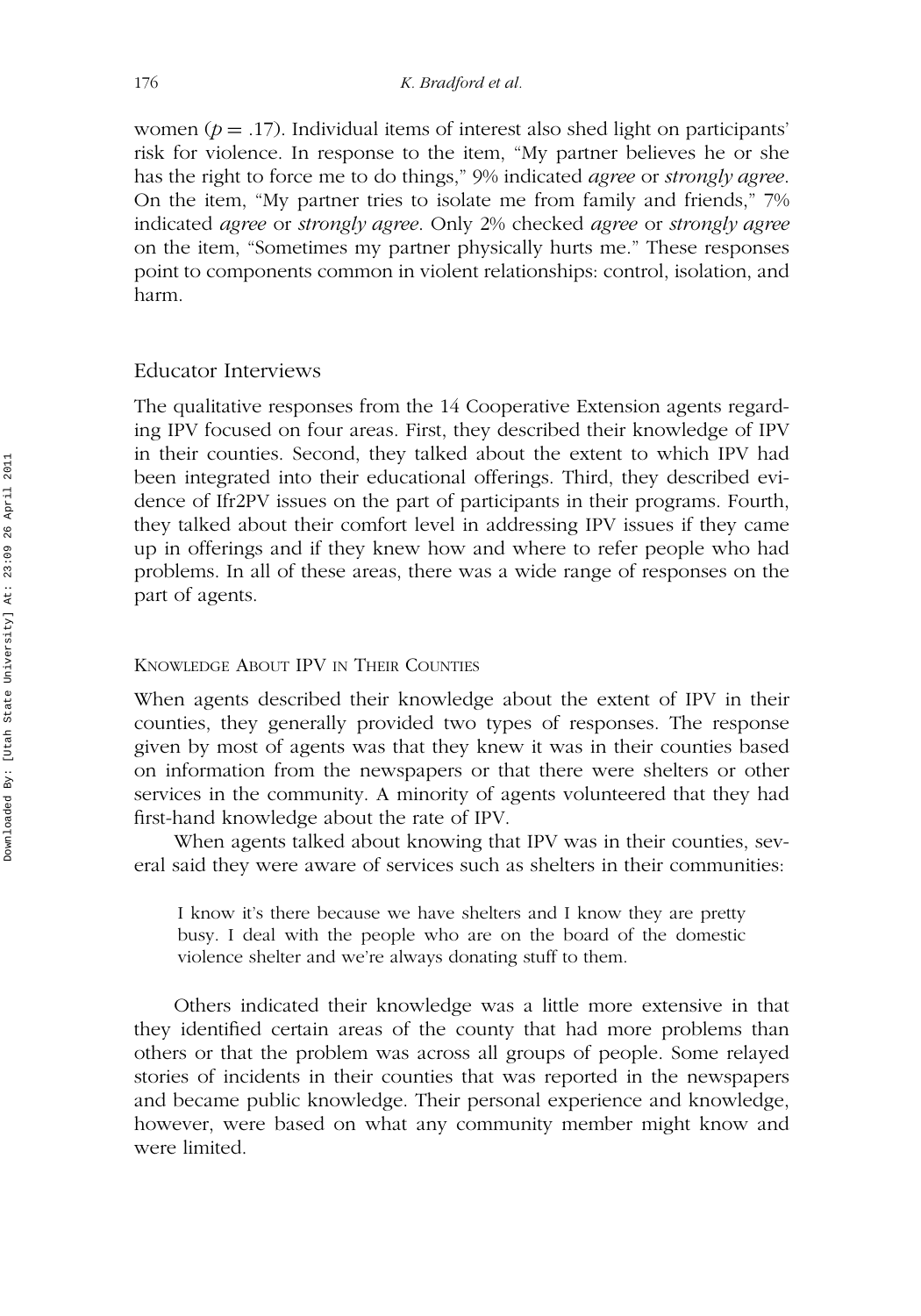women ( $p = .17$ ). Individual items of interest also shed light on participants' risk for violence. In response to the item, "My partner believes he or she has the right to force me to do things," 9% indicated *agree* or *strongly agree*. On the item, "My partner tries to isolate me from family and friends," 7% indicated *agree* or *strongly agree*. Only 2% checked *agree* or *strongly agree* on the item, "Sometimes my partner physically hurts me." These responses point to components common in violent relationships: control, isolation, and harm.

## Educator Interviews

The qualitative responses from the 14 Cooperative Extension agents regarding IPV focused on four areas. First, they described their knowledge of IPV in their counties. Second, they talked about the extent to which IPV had been integrated into their educational offerings. Third, they described evidence of Ifr2PV issues on the part of participants in their programs. Fourth, they talked about their comfort level in addressing IPV issues if they came up in offerings and if they knew how and where to refer people who had problems. In all of these areas, there was a wide range of responses on the part of agents.

#### KNOWLEDGE ABOUT IPV IN THEIR COUNTIES

When agents described their knowledge about the extent of IPV in their counties, they generally provided two types of responses. The response given by most of agents was that they knew it was in their counties based on information from the newspapers or that there were shelters or other services in the community. A minority of agents volunteered that they had first-hand knowledge about the rate of IPV.

When agents talked about knowing that IPV was in their counties, several said they were aware of services such as shelters in their communities:

I know it's there because we have shelters and I know they are pretty busy. I deal with the people who are on the board of the domestic violence shelter and we're always donating stuff to them.

Others indicated their knowledge was a little more extensive in that they identified certain areas of the county that had more problems than others or that the problem was across all groups of people. Some relayed stories of incidents in their counties that was reported in the newspapers and became public knowledge. Their personal experience and knowledge, however, were based on what any community member might know and were limited.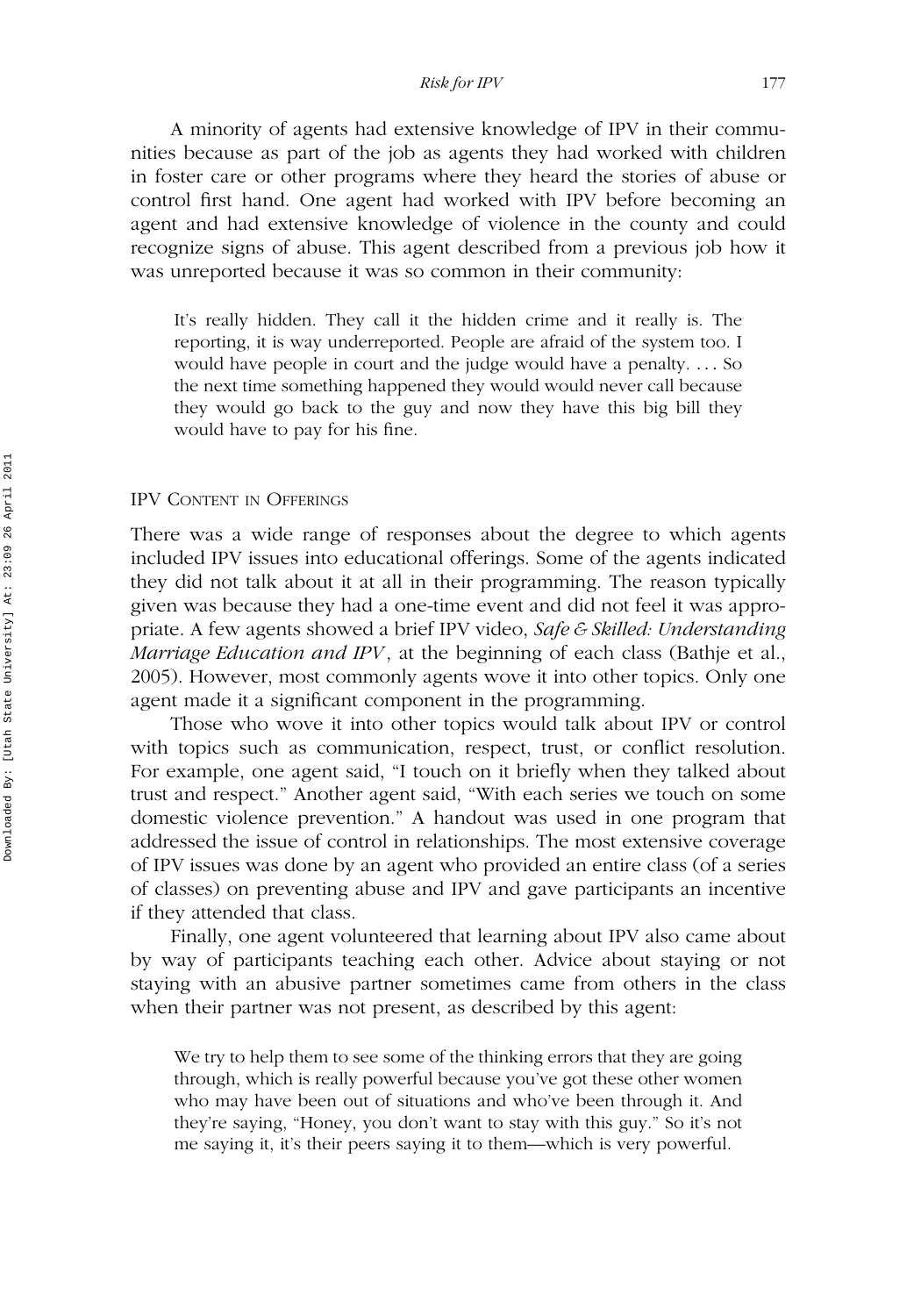*Risk for IPV* 177

A minority of agents had extensive knowledge of IPV in their communities because as part of the job as agents they had worked with children in foster care or other programs where they heard the stories of abuse or control first hand. One agent had worked with IPV before becoming an agent and had extensive knowledge of violence in the county and could recognize signs of abuse. This agent described from a previous job how it was unreported because it was so common in their community:

It's really hidden. They call it the hidden crime and it really is. The reporting, it is way underreported. People are afraid of the system too. I would have people in court and the judge would have a penalty. ... So the next time something happened they would would never call because they would go back to the guy and now they have this big bill they would have to pay for his fine.

#### IPV CONTENT IN OFFERINGS

There was a wide range of responses about the degree to which agents included IPV issues into educational offerings. Some of the agents indicated they did not talk about it at all in their programming. The reason typically given was because they had a one-time event and did not feel it was appropriate. A few agents showed a brief IPV video, *Safe & Skilled: Understanding Marriage Education and IPV*, at the beginning of each class (Bathje et al., 2005). However, most commonly agents wove it into other topics. Only one agent made it a significant component in the programming.

Those who wove it into other topics would talk about IPV or control with topics such as communication, respect, trust, or conflict resolution. For example, one agent said, "I touch on it briefly when they talked about trust and respect." Another agent said, "With each series we touch on some domestic violence prevention." A handout was used in one program that addressed the issue of control in relationships. The most extensive coverage of IPV issues was done by an agent who provided an entire class (of a series of classes) on preventing abuse and IPV and gave participants an incentive if they attended that class.

Finally, one agent volunteered that learning about IPV also came about by way of participants teaching each other. Advice about staying or not staying with an abusive partner sometimes came from others in the class when their partner was not present, as described by this agent:

We try to help them to see some of the thinking errors that they are going through, which is really powerful because you've got these other women who may have been out of situations and who've been through it. And they're saying, "Honey, you don't want to stay with this guy." So it's not me saying it, it's their peers saying it to them—which is very powerful.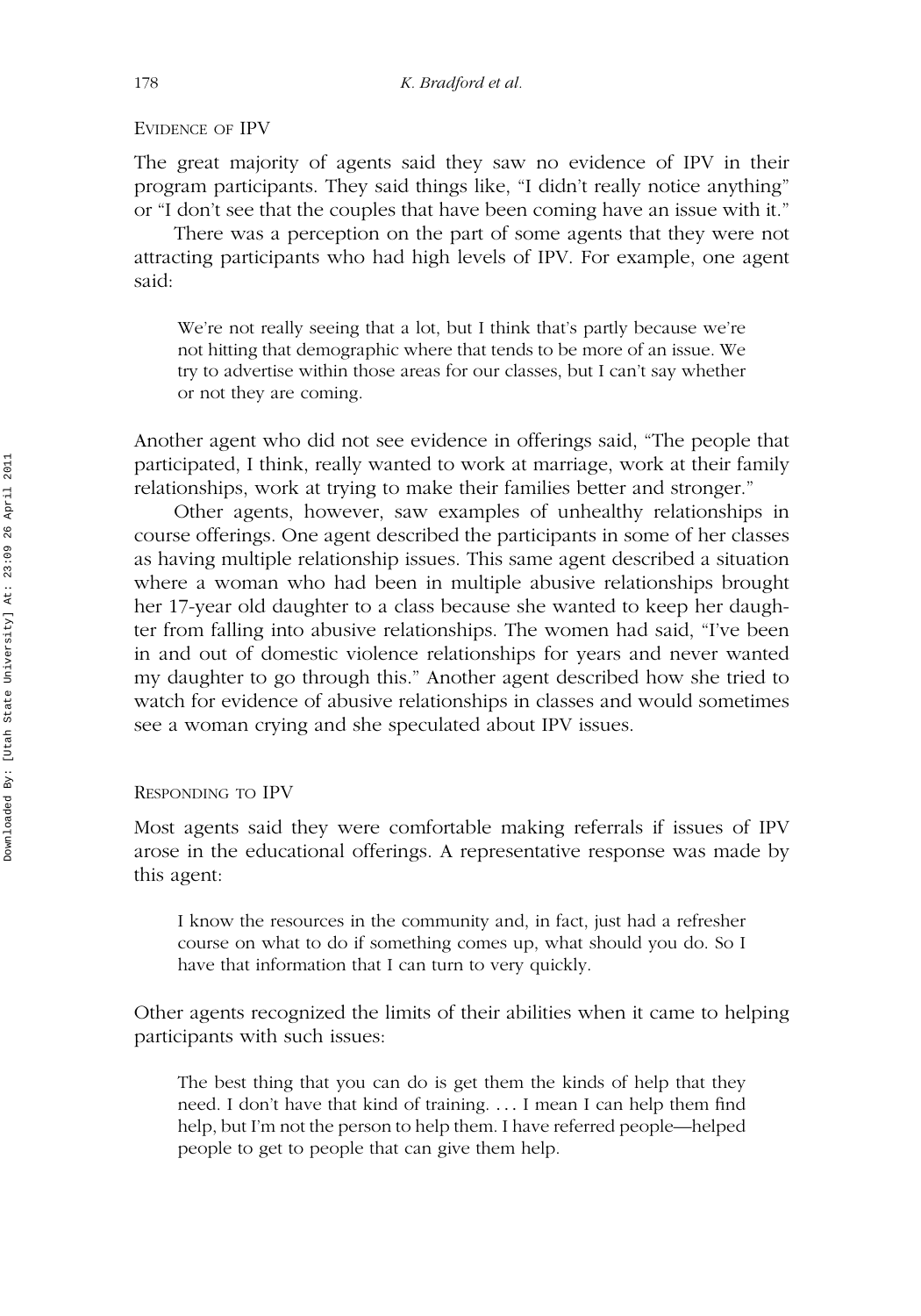#### EVIDENCE OF IPV

The great majority of agents said they saw no evidence of IPV in their program participants. They said things like, "I didn't really notice anything" or "I don't see that the couples that have been coming have an issue with it."

There was a perception on the part of some agents that they were not attracting participants who had high levels of IPV. For example, one agent said:

We're not really seeing that a lot, but I think that's partly because we're not hitting that demographic where that tends to be more of an issue. We try to advertise within those areas for our classes, but I can't say whether or not they are coming.

Another agent who did not see evidence in offerings said, "The people that participated, I think, really wanted to work at marriage, work at their family relationships, work at trying to make their families better and stronger."

Other agents, however, saw examples of unhealthy relationships in course offerings. One agent described the participants in some of her classes as having multiple relationship issues. This same agent described a situation where a woman who had been in multiple abusive relationships brought her 17-year old daughter to a class because she wanted to keep her daughter from falling into abusive relationships. The women had said, "I've been in and out of domestic violence relationships for years and never wanted my daughter to go through this." Another agent described how she tried to watch for evidence of abusive relationships in classes and would sometimes see a woman crying and she speculated about IPV issues.

#### RESPONDING TO IPV

Most agents said they were comfortable making referrals if issues of IPV arose in the educational offerings. A representative response was made by this agent:

I know the resources in the community and, in fact, just had a refresher course on what to do if something comes up, what should you do. So I have that information that I can turn to very quickly.

Other agents recognized the limits of their abilities when it came to helping participants with such issues:

The best thing that you can do is get them the kinds of help that they need. I don't have that kind of training. ... I mean I can help them find help, but I'm not the person to help them. I have referred people—helped people to get to people that can give them help.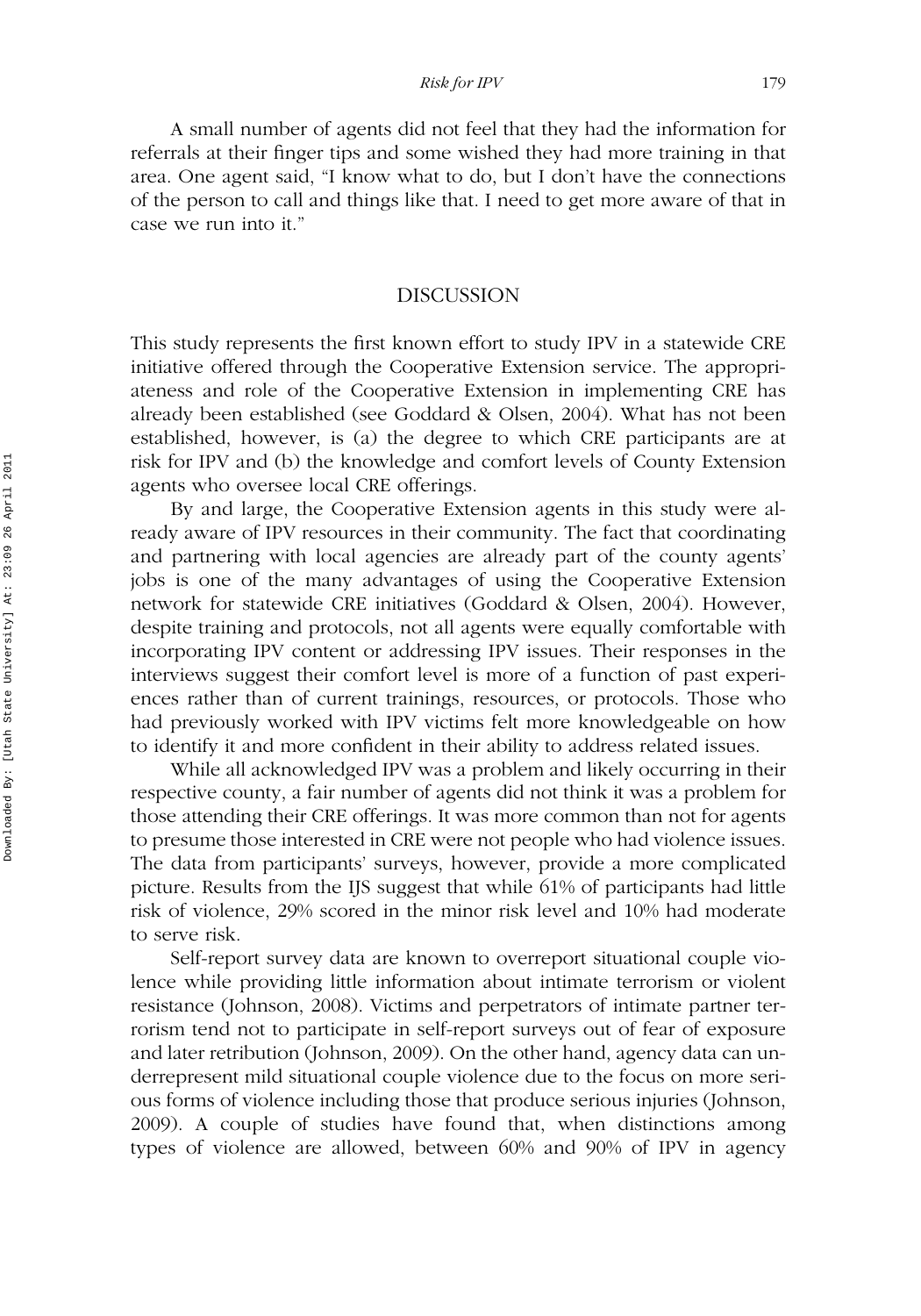A small number of agents did not feel that they had the information for referrals at their finger tips and some wished they had more training in that area. One agent said, "I know what to do, but I don't have the connections of the person to call and things like that. I need to get more aware of that in case we run into it."

## **DISCUSSION**

This study represents the first known effort to study IPV in a statewide CRE initiative offered through the Cooperative Extension service. The appropriateness and role of the Cooperative Extension in implementing CRE has already been established (see Goddard & Olsen, 2004). What has not been established, however, is (a) the degree to which CRE participants are at risk for IPV and (b) the knowledge and comfort levels of County Extension agents who oversee local CRE offerings.

By and large, the Cooperative Extension agents in this study were already aware of IPV resources in their community. The fact that coordinating and partnering with local agencies are already part of the county agents' jobs is one of the many advantages of using the Cooperative Extension network for statewide CRE initiatives (Goddard & Olsen, 2004). However, despite training and protocols, not all agents were equally comfortable with incorporating IPV content or addressing IPV issues. Their responses in the interviews suggest their comfort level is more of a function of past experiences rather than of current trainings, resources, or protocols. Those who had previously worked with IPV victims felt more knowledgeable on how to identify it and more confident in their ability to address related issues.

While all acknowledged IPV was a problem and likely occurring in their respective county, a fair number of agents did not think it was a problem for those attending their CRE offerings. It was more common than not for agents to presume those interested in CRE were not people who had violence issues. The data from participants' surveys, however, provide a more complicated picture. Results from the IJS suggest that while 61% of participants had little risk of violence, 29% scored in the minor risk level and 10% had moderate to serve risk.

Self-report survey data are known to overreport situational couple violence while providing little information about intimate terrorism or violent resistance (Johnson, 2008). Victims and perpetrators of intimate partner terrorism tend not to participate in self-report surveys out of fear of exposure and later retribution (Johnson, 2009). On the other hand, agency data can underrepresent mild situational couple violence due to the focus on more serious forms of violence including those that produce serious injuries (Johnson, 2009). A couple of studies have found that, when distinctions among types of violence are allowed, between 60% and 90% of IPV in agency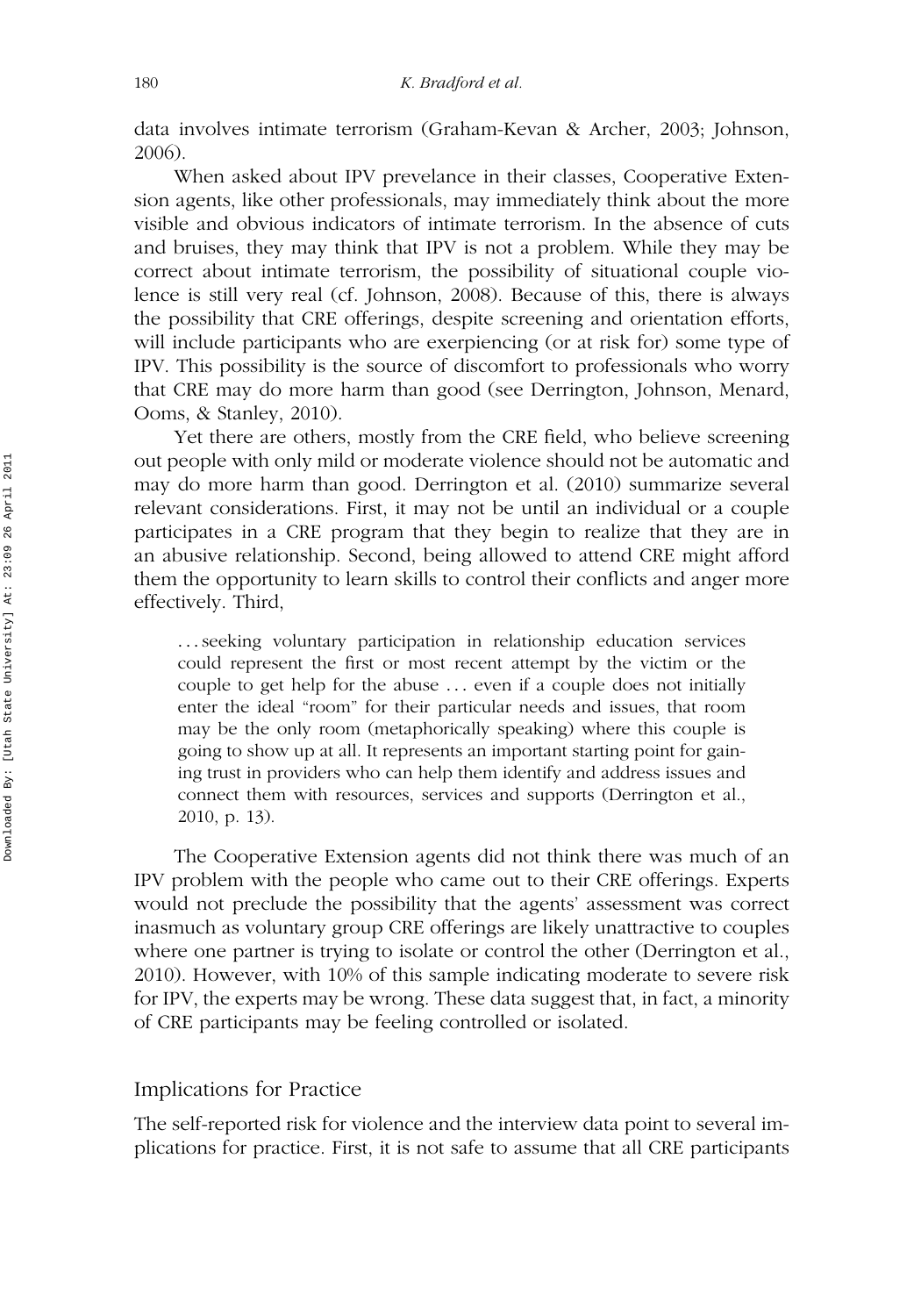data involves intimate terrorism (Graham-Kevan & Archer, 2003; Johnson, 2006).

When asked about IPV prevelance in their classes, Cooperative Extension agents, like other professionals, may immediately think about the more visible and obvious indicators of intimate terrorism. In the absence of cuts and bruises, they may think that IPV is not a problem. While they may be correct about intimate terrorism, the possibility of situational couple violence is still very real (cf. Johnson, 2008). Because of this, there is always the possibility that CRE offerings, despite screening and orientation efforts, will include participants who are exerpiencing (or at risk for) some type of IPV. This possibility is the source of discomfort to professionals who worry that CRE may do more harm than good (see Derrington, Johnson, Menard, Ooms, & Stanley, 2010).

Yet there are others, mostly from the CRE field, who believe screening out people with only mild or moderate violence should not be automatic and may do more harm than good. Derrington et al. (2010) summarize several relevant considerations. First, it may not be until an individual or a couple participates in a CRE program that they begin to realize that they are in an abusive relationship. Second, being allowed to attend CRE might afford them the opportunity to learn skills to control their conflicts and anger more effectively. Third,

... seeking voluntary participation in relationship education services could represent the first or most recent attempt by the victim or the couple to get help for the abuse ... even if a couple does not initially enter the ideal "room" for their particular needs and issues, that room may be the only room (metaphorically speaking) where this couple is going to show up at all. It represents an important starting point for gaining trust in providers who can help them identify and address issues and connect them with resources, services and supports (Derrington et al., 2010, p. 13).

The Cooperative Extension agents did not think there was much of an IPV problem with the people who came out to their CRE offerings. Experts would not preclude the possibility that the agents' assessment was correct inasmuch as voluntary group CRE offerings are likely unattractive to couples where one partner is trying to isolate or control the other (Derrington et al., 2010). However, with 10% of this sample indicating moderate to severe risk for IPV, the experts may be wrong. These data suggest that, in fact, a minority of CRE participants may be feeling controlled or isolated.

## Implications for Practice

The self-reported risk for violence and the interview data point to several implications for practice. First, it is not safe to assume that all CRE participants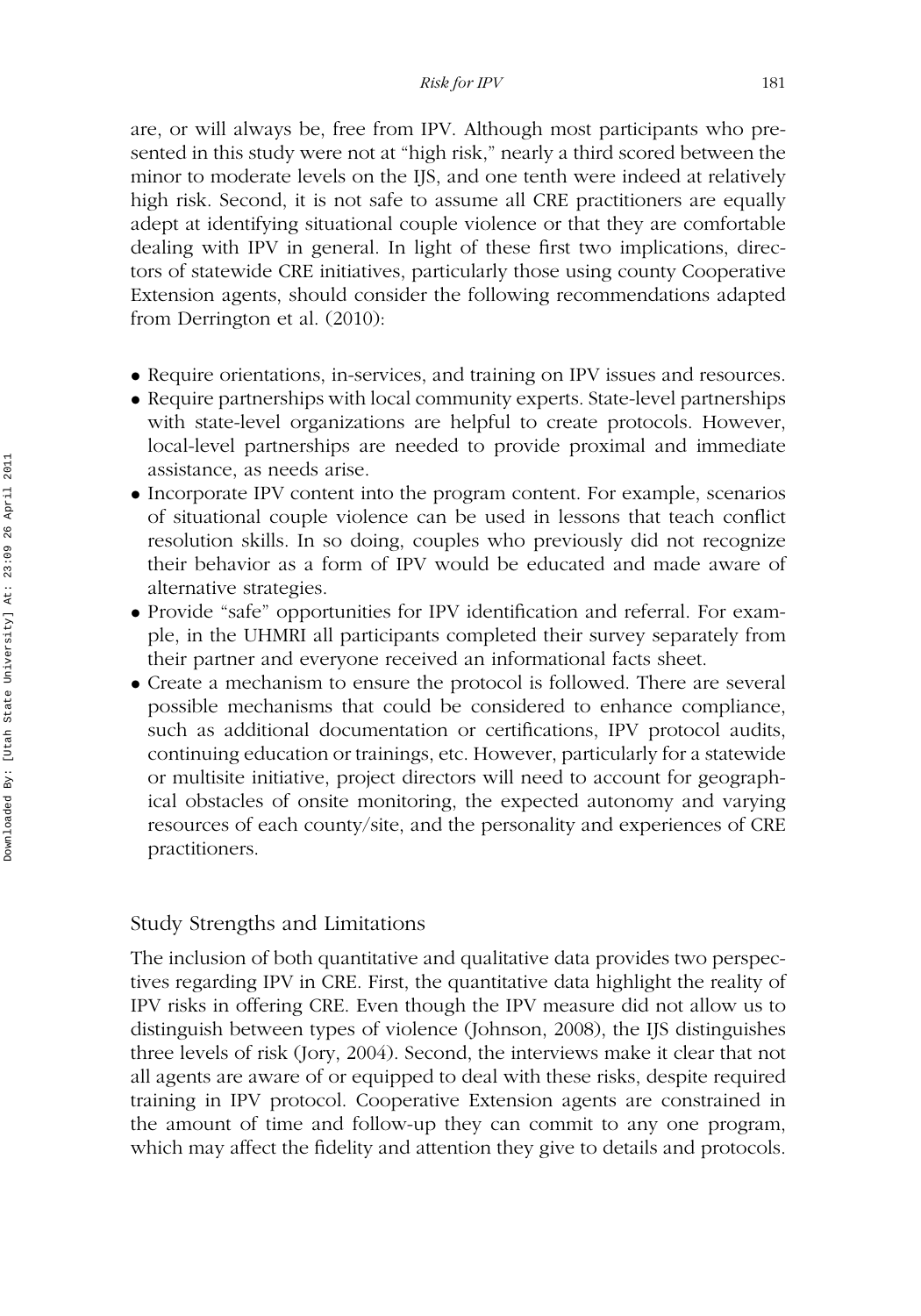are, or will always be, free from IPV. Although most participants who presented in this study were not at "high risk," nearly a third scored between the minor to moderate levels on the IJS, and one tenth were indeed at relatively high risk. Second, it is not safe to assume all CRE practitioners are equally adept at identifying situational couple violence or that they are comfortable dealing with IPV in general. In light of these first two implications, directors of statewide CRE initiatives, particularly those using county Cooperative Extension agents, should consider the following recommendations adapted from Derrington et al. (2010):

- Require orientations, in-services, and training on IPV issues and resources.
- Require partnerships with local community experts. State-level partnerships with state-level organizations are helpful to create protocols. However, local-level partnerships are needed to provide proximal and immediate assistance, as needs arise.
- Incorporate IPV content into the program content. For example, scenarios of situational couple violence can be used in lessons that teach conflict resolution skills. In so doing, couples who previously did not recognize their behavior as a form of IPV would be educated and made aware of alternative strategies.
- Provide "safe" opportunities for IPV identification and referral. For example, in the UHMRI all participants completed their survey separately from their partner and everyone received an informational facts sheet.
- Create a mechanism to ensure the protocol is followed. There are several possible mechanisms that could be considered to enhance compliance, such as additional documentation or certifications, IPV protocol audits, continuing education or trainings, etc. However, particularly for a statewide or multisite initiative, project directors will need to account for geographical obstacles of onsite monitoring, the expected autonomy and varying resources of each county/site, and the personality and experiences of CRE practitioners.

## Study Strengths and Limitations

The inclusion of both quantitative and qualitative data provides two perspectives regarding IPV in CRE. First, the quantitative data highlight the reality of IPV risks in offering CRE. Even though the IPV measure did not allow us to distinguish between types of violence (Johnson, 2008), the IJS distinguishes three levels of risk (Jory, 2004). Second, the interviews make it clear that not all agents are aware of or equipped to deal with these risks, despite required training in IPV protocol. Cooperative Extension agents are constrained in the amount of time and follow-up they can commit to any one program, which may affect the fidelity and attention they give to details and protocols.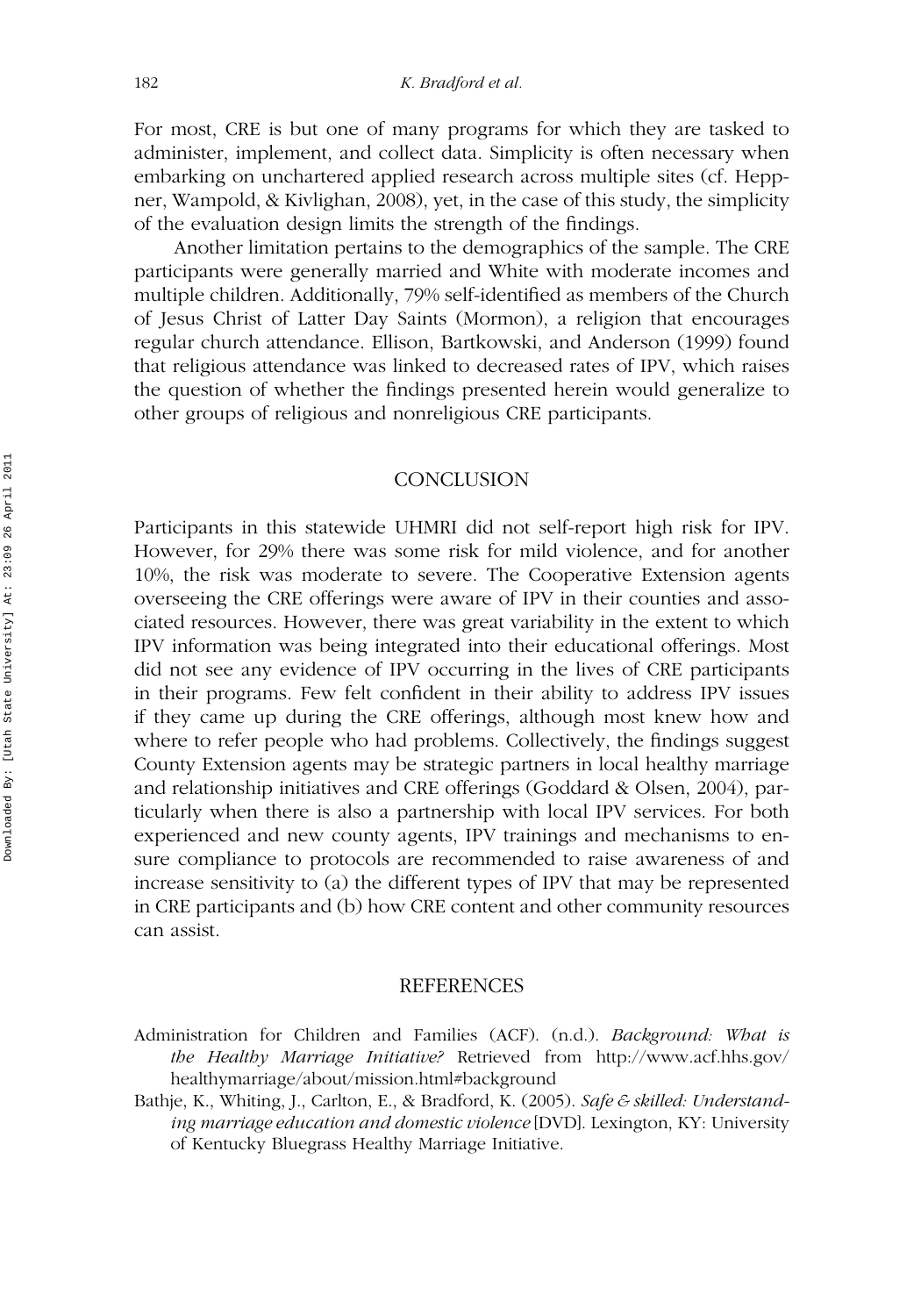For most, CRE is but one of many programs for which they are tasked to administer, implement, and collect data. Simplicity is often necessary when embarking on unchartered applied research across multiple sites (cf. Heppner, Wampold, & Kivlighan, 2008), yet, in the case of this study, the simplicity of the evaluation design limits the strength of the findings.

Another limitation pertains to the demographics of the sample. The CRE participants were generally married and White with moderate incomes and multiple children. Additionally, 79% self-identified as members of the Church of Jesus Christ of Latter Day Saints (Mormon), a religion that encourages regular church attendance. Ellison, Bartkowski, and Anderson (1999) found that religious attendance was linked to decreased rates of IPV, which raises the question of whether the findings presented herein would generalize to other groups of religious and nonreligious CRE participants.

## **CONCLUSION**

Participants in this statewide UHMRI did not self-report high risk for IPV. However, for 29% there was some risk for mild violence, and for another 10%, the risk was moderate to severe. The Cooperative Extension agents overseeing the CRE offerings were aware of IPV in their counties and associated resources. However, there was great variability in the extent to which IPV information was being integrated into their educational offerings. Most did not see any evidence of IPV occurring in the lives of CRE participants in their programs. Few felt confident in their ability to address IPV issues if they came up during the CRE offerings, although most knew how and where to refer people who had problems. Collectively, the findings suggest County Extension agents may be strategic partners in local healthy marriage and relationship initiatives and CRE offerings (Goddard & Olsen, 2004), particularly when there is also a partnership with local IPV services. For both experienced and new county agents, IPV trainings and mechanisms to ensure compliance to protocols are recommended to raise awareness of and increase sensitivity to (a) the different types of IPV that may be represented in CRE participants and (b) how CRE content and other community resources can assist.

#### REFERENCES

- Administration for Children and Families (ACF). (n.d.). *Background: What is the Healthy Marriage Initiative?* Retrieved from http://www.acf.hhs.gov/ healthymarriage/about/mission.html#background
- Bathje, K., Whiting, J., Carlton, E., & Bradford, K. (2005). *Safe & skilled: Understanding marriage education and domestic violence* [DVD]. Lexington, KY: University of Kentucky Bluegrass Healthy Marriage Initiative.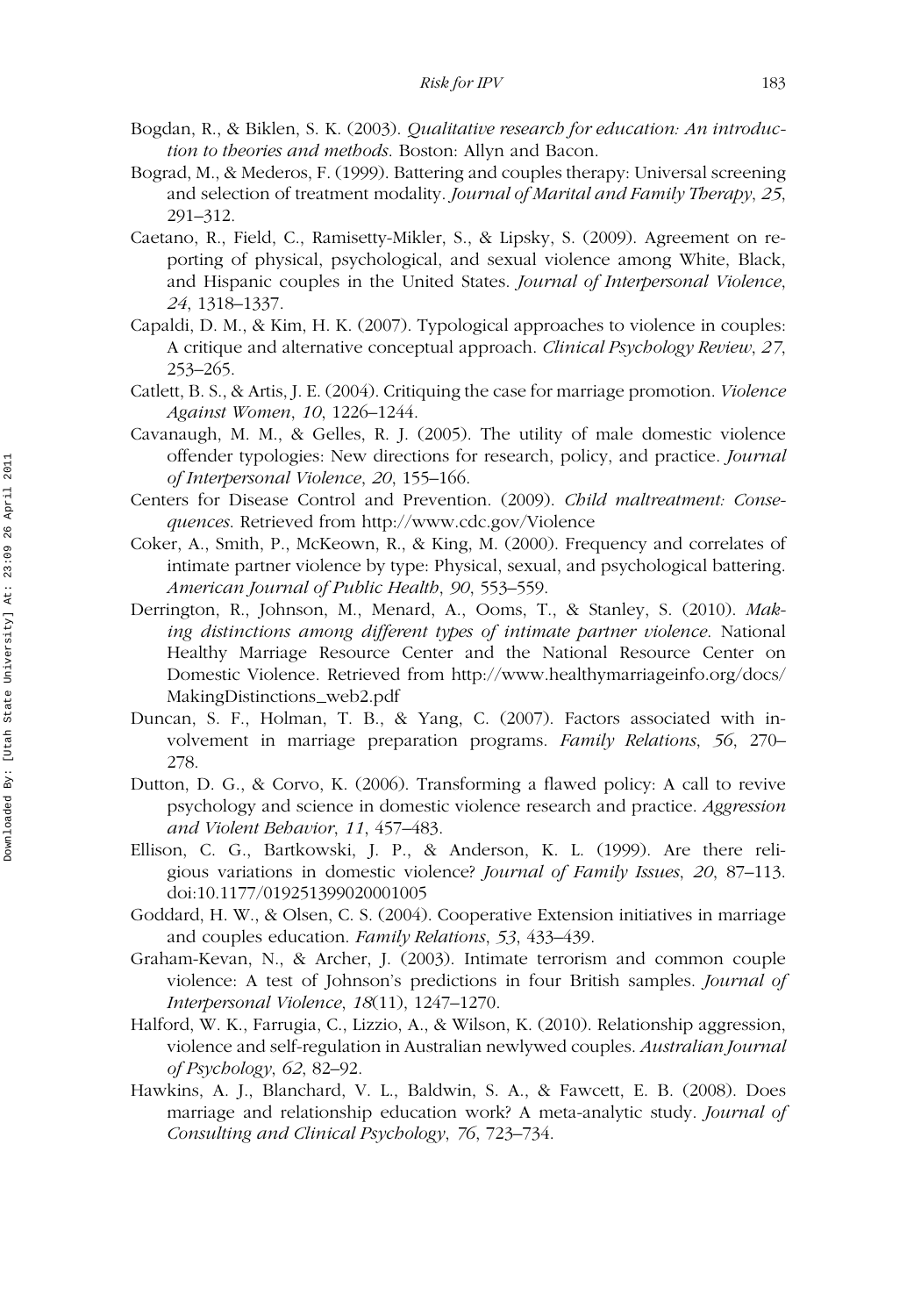- Bogdan, R., & Biklen, S. K. (2003). *Qualitative research for education: An introduction to theories and methods*. Boston: Allyn and Bacon.
- Bograd, M., & Mederos, F. (1999). Battering and couples therapy: Universal screening and selection of treatment modality. *Journal of Marital and Family Therapy*, *25*, 291–312.
- Caetano, R., Field, C., Ramisetty-Mikler, S., & Lipsky, S. (2009). Agreement on reporting of physical, psychological, and sexual violence among White, Black, and Hispanic couples in the United States. *Journal of Interpersonal Violence*, *24*, 1318–1337.
- Capaldi, D. M., & Kim, H. K. (2007). Typological approaches to violence in couples: A critique and alternative conceptual approach. *Clinical Psychology Review*, *27*, 253–265.
- Catlett, B. S., & Artis, J. E. (2004). Critiquing the case for marriage promotion. *Violence Against Women*, *10*, 1226–1244.
- Cavanaugh, M. M., & Gelles, R. J. (2005). The utility of male domestic violence offender typologies: New directions for research, policy, and practice. *Journal of Interpersonal Violence*, *20*, 155–166.
- Centers for Disease Control and Prevention. (2009). *Child maltreatment: Consequences*. Retrieved from http://www.cdc.gov/Violence
- Coker, A., Smith, P., McKeown, R., & King, M. (2000). Frequency and correlates of intimate partner violence by type: Physical, sexual, and psychological battering. *American Journal of Public Health*, *90*, 553–559.
- Derrington, R., Johnson, M., Menard, A., Ooms, T., & Stanley, S. (2010). *Making distinctions among different types of intimate partner violence*. National Healthy Marriage Resource Center and the National Resource Center on Domestic Violence. Retrieved from http://www.healthymarriageinfo.org/docs/ MakingDistinctions\_web2.pdf
- Duncan, S. F., Holman, T. B., & Yang, C. (2007). Factors associated with involvement in marriage preparation programs. *Family Relations*, *56*, 270– 278.
- Dutton, D. G., & Corvo, K. (2006). Transforming a flawed policy: A call to revive psychology and science in domestic violence research and practice. *Aggression and Violent Behavior*, *11*, 457–483.
- Ellison, C. G., Bartkowski, J. P., & Anderson, K. L. (1999). Are there religious variations in domestic violence? *Journal of Family Issues*, *20*, 87–113. doi:10.1177/019251399020001005
- Goddard, H. W., & Olsen, C. S. (2004). Cooperative Extension initiatives in marriage and couples education. *Family Relations*, *53*, 433–439.
- Graham-Kevan, N., & Archer, J. (2003). Intimate terrorism and common couple violence: A test of Johnson's predictions in four British samples. *Journal of Interpersonal Violence*, *18*(11), 1247–1270.
- Halford, W. K., Farrugia, C., Lizzio, A., & Wilson, K. (2010). Relationship aggression, violence and self-regulation in Australian newlywed couples. *Australian Journal of Psychology*, *62*, 82–92.
- Hawkins, A. J., Blanchard, V. L., Baldwin, S. A., & Fawcett, E. B. (2008). Does marriage and relationship education work? A meta-analytic study. *Journal of Consulting and Clinical Psychology*, *76*, 723–734.